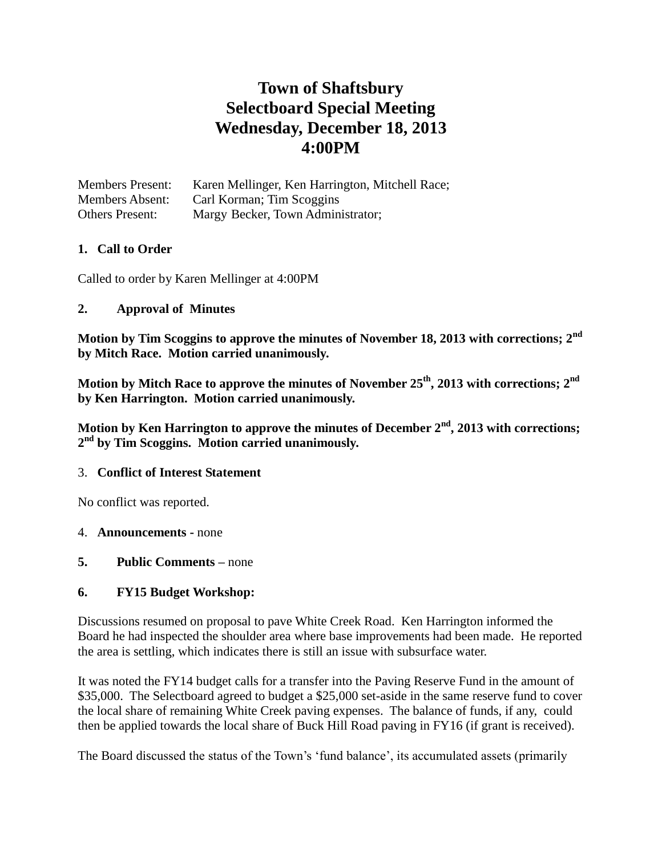# **Town of Shaftsbury Selectboard Special Meeting Wednesday, December 18, 2013 4:00PM**

Members Present: Karen Mellinger, Ken Harrington, Mitchell Race; Members Absent: Carl Korman; Tim Scoggins Others Present: Margy Becker, Town Administrator;

## **1. Call to Order**

Called to order by Karen Mellinger at 4:00PM

#### **2. Approval of Minutes**

**Motion by Tim Scoggins to approve the minutes of November 18, 2013 with corrections; 2nd by Mitch Race. Motion carried unanimously.**

**Motion by Mitch Race to approve the minutes of November 25th, 2013 with corrections; 2nd by Ken Harrington. Motion carried unanimously.**

**Motion by Ken Harrington to approve the minutes of December 2nd, 2013 with corrections; 2 nd by Tim Scoggins. Motion carried unanimously.**

### 3. **Conflict of Interest Statement**

No conflict was reported.

### 4. **Announcements -** none

### **5. Public Comments –** none

### **6. FY15 Budget Workshop:**

Discussions resumed on proposal to pave White Creek Road. Ken Harrington informed the Board he had inspected the shoulder area where base improvements had been made. He reported the area is settling, which indicates there is still an issue with subsurface water.

It was noted the FY14 budget calls for a transfer into the Paving Reserve Fund in the amount of \$35,000. The Selectboard agreed to budget a \$25,000 set-aside in the same reserve fund to cover the local share of remaining White Creek paving expenses. The balance of funds, if any, could then be applied towards the local share of Buck Hill Road paving in FY16 (if grant is received).

The Board discussed the status of the Town's 'fund balance', its accumulated assets (primarily